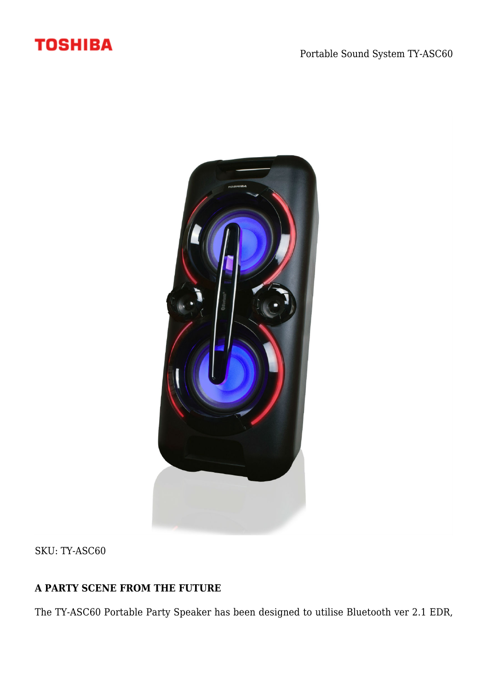## **TOSHIBA**



SKU: TY-ASC60

## **A PARTY SCENE FROM THE FUTURE**

The TY-ASC60 Portable Party Speaker has been designed to utilise Bluetooth ver 2.1 EDR,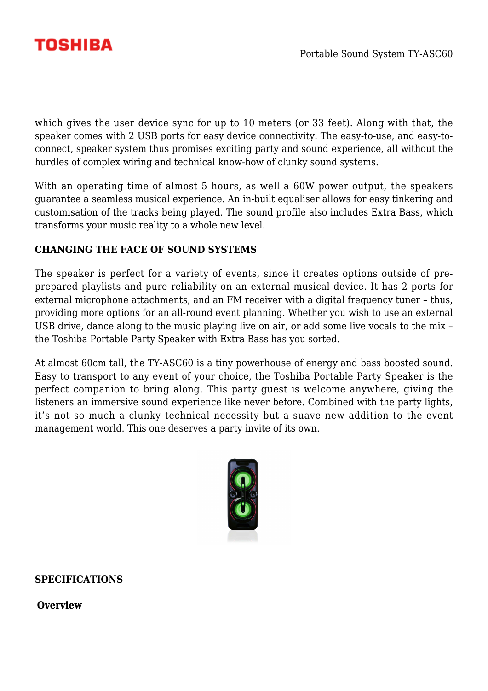

which gives the user device sync for up to 10 meters (or 33 feet). Along with that, the speaker comes with 2 USB ports for easy device connectivity. The easy-to-use, and easy-toconnect, speaker system thus promises exciting party and sound experience, all without the hurdles of complex wiring and technical know-how of clunky sound systems.

With an operating time of almost 5 hours, as well a 60W power output, the speakers guarantee a seamless musical experience. An in-built equaliser allows for easy tinkering and customisation of the tracks being played. The sound profile also includes Extra Bass, which transforms your music reality to a whole new level.

## **CHANGING THE FACE OF SOUND SYSTEMS**

The speaker is perfect for a variety of events, since it creates options outside of preprepared playlists and pure reliability on an external musical device. It has 2 ports for external microphone attachments, and an FM receiver with a digital frequency tuner – thus, providing more options for an all-round event planning. Whether you wish to use an external USB drive, dance along to the music playing live on air, or add some live vocals to the mix – the Toshiba Portable Party Speaker with Extra Bass has you sorted.

At almost 60cm tall, the TY-ASC60 is a tiny powerhouse of energy and bass boosted sound. Easy to transport to any event of your choice, the Toshiba Portable Party Speaker is the perfect companion to bring along. This party guest is welcome anywhere, giving the listeners an immersive sound experience like never before. Combined with the party lights, it's not so much a clunky technical necessity but a suave new addition to the event management world. This one deserves a party invite of its own.



**SPECIFICATIONS**

**Overview**